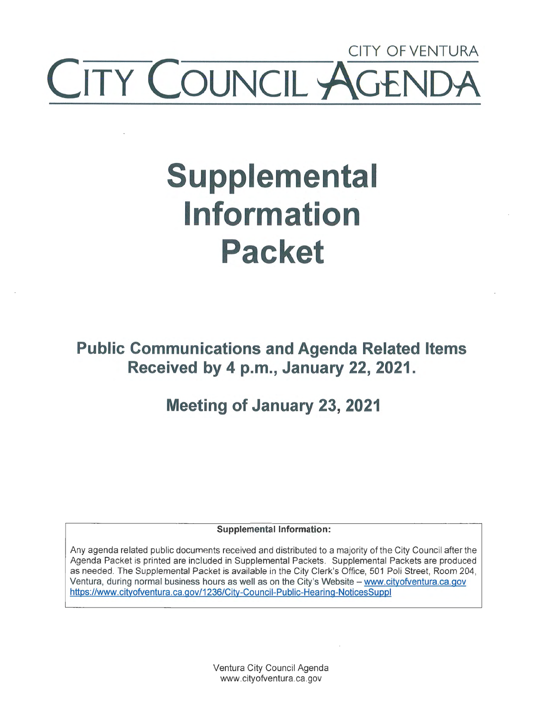## CITY OF VENTURA **COUNCIL ~**

# **Supplemental Information Packet**

**Public Communications and Agenda Related Items Received by 4 p.m., January 22, 2021.** 

**Meeting of January 23, 2021** 

**Supplemental Information:** 

Any agenda related public documents received and distributed to a majority of the City Council after the Agenda Packet is printed are included in Supplemental Packets. Supplemental Packets are produced as needed. The Supplemental Packet is available in the City Clerk's Office, 501 Poli Street, Room 204, Ventura, during normal business hours as well as on the City's Website - www.cityofventura.ca.gov https://www.cityofventura.ca.gov/1236/City-Council-Public-Hearing-NoticesSuppl

> Ventura City Council Agenda www.cityofventura.ca.gov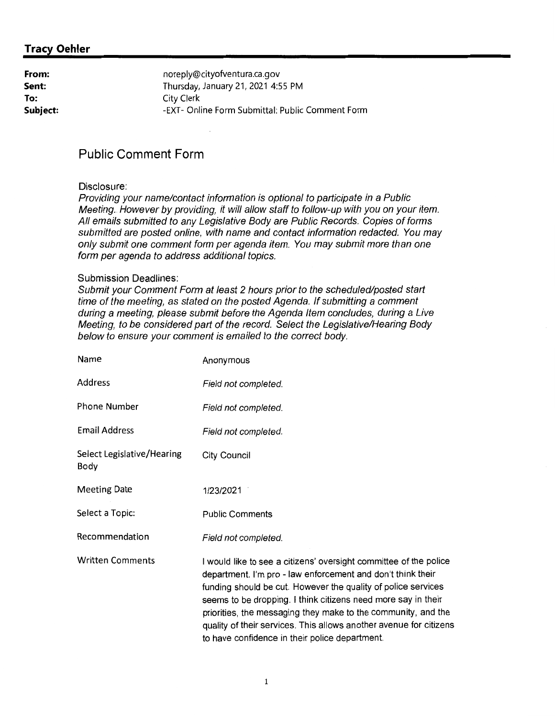| From:    | noreply@cityofventura.ca.gov                     |
|----------|--------------------------------------------------|
| Sent:    | Thursday, January 21, 2021 4:55 PM               |
| To:      | City Clerk                                       |
| Subject: | -EXT- Online Form Submittal: Public Comment Form |

## **Public Comment Form**

#### Disclosure:

Providing your name/contact information is optional to participate in a Public Meeting. However by providing, it will allow staff to follow-up with you on your item. All emails submitted to any Legislative Body are Public Records. Copies of forms submitted are posted online, with name and contact information redacted. You may only submit one comment form per agenda item. You may submit more than one form per agenda to address additional topics.

#### Submission Deadlines:

Submit your Comment Form at least 2 hours prior to the scheduled/posted start time of the meeting, as stated on the posted Agenda. If submitting a comment during a meeting, please submit before the Agenda Item concludes, during a Live Meeting, to be considered part of the record. Select the Legislative/Hearing Body below to ensure your comment is emailed to the correct body.

| Name                               | Anonymous                                                                                                                                                                                                                                                                                                                                                                                                                                                   |
|------------------------------------|-------------------------------------------------------------------------------------------------------------------------------------------------------------------------------------------------------------------------------------------------------------------------------------------------------------------------------------------------------------------------------------------------------------------------------------------------------------|
| Address                            | Field not completed.                                                                                                                                                                                                                                                                                                                                                                                                                                        |
| Phone Number                       | Field not completed.                                                                                                                                                                                                                                                                                                                                                                                                                                        |
| <b>Email Address</b>               | Field not completed.                                                                                                                                                                                                                                                                                                                                                                                                                                        |
| Select Legislative/Hearing<br>Body | <b>City Council</b>                                                                                                                                                                                                                                                                                                                                                                                                                                         |
| <b>Meeting Date</b>                | 1/23/2021                                                                                                                                                                                                                                                                                                                                                                                                                                                   |
| Select a Topic:                    | <b>Public Comments</b>                                                                                                                                                                                                                                                                                                                                                                                                                                      |
| Recommendation                     | Field not completed.                                                                                                                                                                                                                                                                                                                                                                                                                                        |
| <b>Written Comments</b>            | I would like to see a citizens' oversight committee of the police<br>department. I'm pro - law enforcement and don't think their<br>funding should be cut. However the quality of police services<br>seems to be dropping. I think citizens need more say in their<br>priorities, the messaging they make to the community, and the<br>quality of their services. This allows another avenue for citizens<br>to have confidence in their police department. |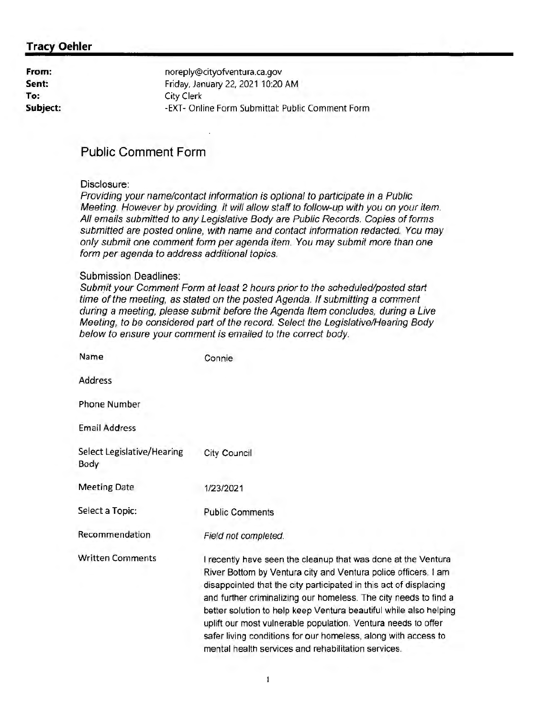| noreply@cityofventura.ca.gov                     |
|--------------------------------------------------|
| Friday, January 22, 2021 10:20 AM                |
| City Clerk                                       |
| -EXT- Online Form Submittal: Public Comment Form |
|                                                  |

## **Public Comment Form**

#### Disclosure:

Providing your name/contact information is optional to participate in a Public Meeting. However by providing, it will allow staff to follow-up with you on your item. All emaiis submitted to any Legislative Body are Public Records. Copies of forms submitted are posted online, with name and contact information redacted. You may only submit one comment form per agenda item. You may submit more than one form per agenda to address additional topics.

#### Submission Deadlines:

Submit your Comment Form at least 2 hours prior to the scheduled/posted start time of the meeting, as stated on the posted Agenda. If submitting a comment during a meeting, please submit before the Agenda Item concludes, during a Live Meeting, to be considered part of the record. Select the Legislative/Hearing Body below to ensure your comment is emailed to the correct body.

| Name                               | Connie                                                                                                                                                                                                                                                                                                                                                                                                                                                                                                                                  |
|------------------------------------|-----------------------------------------------------------------------------------------------------------------------------------------------------------------------------------------------------------------------------------------------------------------------------------------------------------------------------------------------------------------------------------------------------------------------------------------------------------------------------------------------------------------------------------------|
| Address                            |                                                                                                                                                                                                                                                                                                                                                                                                                                                                                                                                         |
| Phone Number                       |                                                                                                                                                                                                                                                                                                                                                                                                                                                                                                                                         |
| <b>Email Address</b>               |                                                                                                                                                                                                                                                                                                                                                                                                                                                                                                                                         |
| Select Legislative/Hearing<br>Body | <b>City Council</b>                                                                                                                                                                                                                                                                                                                                                                                                                                                                                                                     |
| <b>Meeting Date</b>                | 1/23/2021                                                                                                                                                                                                                                                                                                                                                                                                                                                                                                                               |
| Select a Topic:                    | <b>Public Comments</b>                                                                                                                                                                                                                                                                                                                                                                                                                                                                                                                  |
| Recommendation                     | Field not completed.                                                                                                                                                                                                                                                                                                                                                                                                                                                                                                                    |
| <b>Written Comments</b>            | I recently have seen the cleanup that was done at the Ventura<br>River Bottom by Ventura city and Ventura police officers. I am<br>disappointed that the city participated in this act of displacing<br>and further criminalizing our homeless. The city needs to find a<br>better solution to help keep Ventura beautiful while also helping<br>uplift our most vulnerable population. Ventura needs to offer<br>safer living conditions for our homeless, along with access to<br>mental health services and rehabilitation services. |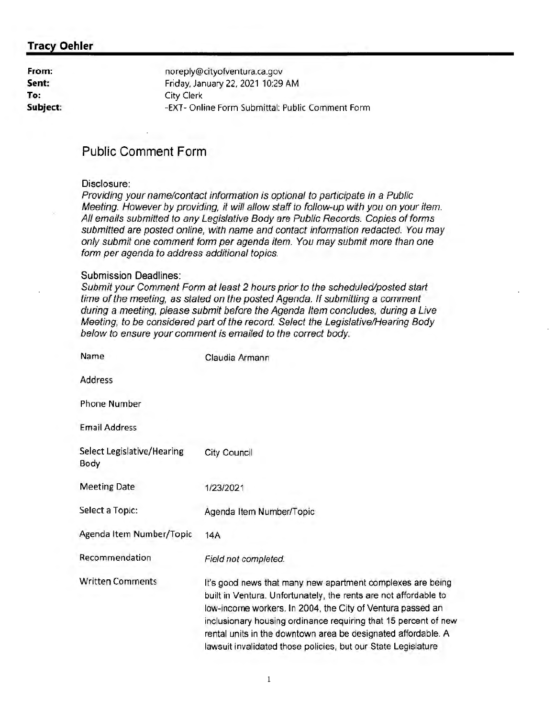| From:    |
|----------|
| Sent:    |
| To.      |
| Subject: |

noreply@cityofventura.ca.gov Friday, January 22, 2021 10:29 AM City Clerk -EXT- Online Form Submittal: Public Comment Form

## **Public Comment Form**

#### Disclosure:

Providing your name/contact information is optional to participate in a Public Meeting. However by providing, it will allow staff to follow-up with you on your item. All emails submitted to any Legislative Body are Public Records. Copies of forms submitted are posted online, with name and contact information redacted. You may only submit one comment form per agenda item. You may submit more than one form per agenda to address additional topics.

#### Submission Deadlines:

Submit your Comment Form at least 2 hours prior to the scheduled/posted start time of the meeting, as stated on the posted Agenda. If submitting a comment during a meeting, please submit before the Agenda Item concludes, during a Live Meeting, to be considered part of the record. Select the Legislative/Hearing Body below to ensure your comment is emailed to the correct body.

| Name                               | Claudia Armann                                                                                                                                                                                                                                                                                                                                                                                    |
|------------------------------------|---------------------------------------------------------------------------------------------------------------------------------------------------------------------------------------------------------------------------------------------------------------------------------------------------------------------------------------------------------------------------------------------------|
| <b>Address</b>                     |                                                                                                                                                                                                                                                                                                                                                                                                   |
| <b>Phone Number</b>                |                                                                                                                                                                                                                                                                                                                                                                                                   |
| <b>Email Address</b>               |                                                                                                                                                                                                                                                                                                                                                                                                   |
| Select Legislative/Hearing<br>Body | City Council                                                                                                                                                                                                                                                                                                                                                                                      |
| <b>Meeting Date</b>                | 1/23/2021                                                                                                                                                                                                                                                                                                                                                                                         |
| Select a Topic:                    | Agenda Item Number/Topic                                                                                                                                                                                                                                                                                                                                                                          |
| Agenda Item Number/Topic           | 14A                                                                                                                                                                                                                                                                                                                                                                                               |
| Recommendation                     | Field not completed.                                                                                                                                                                                                                                                                                                                                                                              |
| <b>Written Comments</b>            | It's good news that many new apartment complexes are being<br>built in Ventura. Unfortunately, the rents are not affordable to<br>low-income workers. In 2004, the City of Ventura passed an<br>inclusionary housing ordinance requiring that 15 percent of new<br>rental units in the downtown area be designated affordable. A<br>lawsuit invalidated those policies, but our State Legislature |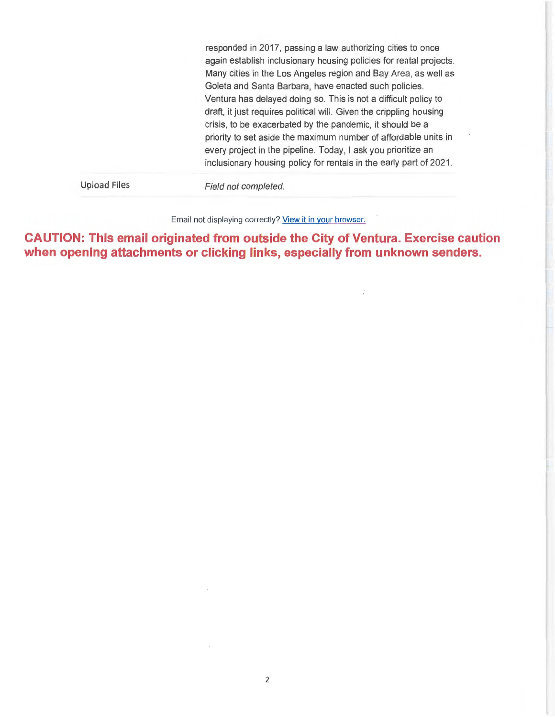responded in 2017, passing a law authorizing cities to once again establish inclusionary housing policies for rental projects. Many cities in the Los Angeles region and Bay Area, as well as Goleta and Santa Barbara, have enacted such policies. Ventura has delayed doing so. This is not a difficult policy to draft, it just requires political will. Given the crippling housing crisis, to be exacerbated by the pandemic, it should be a priority to set aside the maximum number of affordable units in every project in the pipeline. Today, I ask you prioritize an inclusionary housing policy for rentals in the early part of 2021.

Upload Files

Field not completed.

Email not displaying correctly? View it in your browser.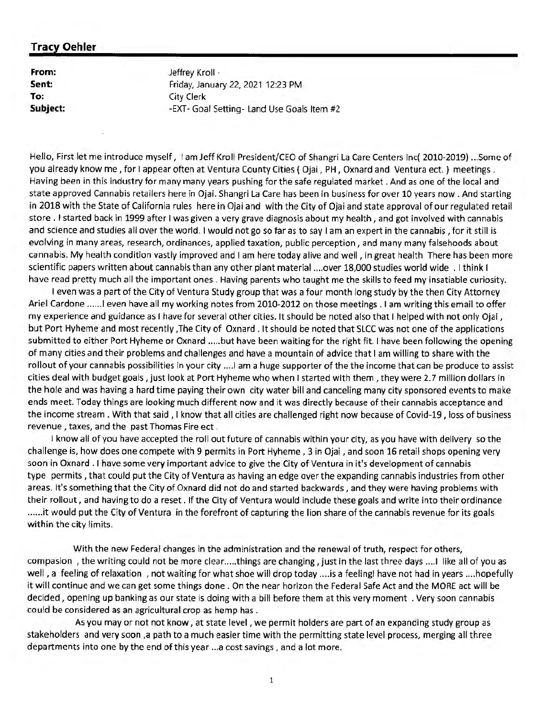**From: Sent: To: Subject:**  Jeffrey Kroll • Friday, January 22, 2021 12:23 PM City Clerk -EXT- Goal Setting- Land Use Goals Item #2

Hello, First let me introduce myself, I am Jeff Kroll President/CEO of Shangri La Care Centers Inc( 2010-2019) ... Some of you already know me, for I appear often at Ventura County Cities ( Ojai, PH, Oxnard and Ventura ect. ) meetings . Having been in this industry for many many years pushing for the safe regulated market . And as one of the local and state approved Cannabis retailers here in Ojai. Shangri La Care has been in business for over 10 years now . And starting in 2018 with the State of California rules here in Ojai and with the City of Ojai and state approval of our regulated retail store . I started back in 1999 after I was given a very grave diagnosis about my health , and got involved with cannabis and science and studies all over the world. I would not go so far as to say I am an expert in the cannabis , for it still is evolving in many areas, research, ordinances, applied taxation, public perception, and many many falsehoods about cannabis. My health condition vastly improved and I am here today alive and well, in great health There has been more scientific papers written about cannabis than any other plant material .... over 18,000 studies world wide . I think I have read pretty much all the important ones . Having parents who taught me the skills to feed my insatiable curiosity.

I even was a part of the City of Ventura Study group that was a four month long study by the then City Attorney Ariel Cardone ...... I even have all my working notes from 2010-2012 on those meetings . I am writing this email to offer my experience and guidance as I have for several other cities. It should be noted also that I helped with not only Ojai, but Port Hyheme and most recently ,The City of Oxnard . It should be noted that SLCC was not one of the applications submitted to either Port Hyheme or Oxnard ..... but have been waiting for the right fit. I have been following the opening of many cities and their problems and challenges and have a mountain of advice that I am willing to share with the rollout of your cannabis possibilities in your city .... I am a huge supporter of the the income that can be produce to assist cities deal with budget goals, just look at Port Hyheme who when I started with them , they were 2. 7 million dollars in the hole and was having a hard time paying their own city water bill and canceling many city sponsored events to make ends meet. Today things are looking much different now and it was directly because of their cannabis acceptance and the income stream. With that said, I know that all cities are challenged right now because of Covid-19, loss of business revenue , taxes, and the past Thomas Fire ect .

I know all of you have accepted the roll out future of cannabis within your city, as you have with delivery so the challenge is, how does one compete with 9 permits in Port Hyheme , 3 in Ojai , and soon 16 retail shops opening very soon in Oxnard . I have some very important advice to give the City of Ventura in it's development of cannabis type permits , that could put the City of Ventura as having an edge over the expanding cannabis industries from other areas. It's something that the City of Oxnard did not do and started backwards, and they were having problems with their rollout, and having to do a reset. If the City of Ventura would include these goals and write into their ordinance ......it would put the City of Ventura in the forefront of capturing the lion share of the cannabis revenue for its goals. within the city limits.

With the new Federal changes in the administration and the renewal of truth, respect for others, compasion, the writing could not be more clear.....things are changing, just in the last three days .... I like all of you as well, a feeling of relaxation , not waiting for what shoe will drop today .... is a feeling! have not had in years .... hopefully it will continue and we can get some things done. On the near horizon the Federal Safe Act and the MORE act will be decided, opening up banking as our state is doing with a bill before them at this very moment . Very soon cannabis could be considered as an agricultural crop as hemp has .

As you may or not not know, at state level , we permit holders are part of an expanding study group as stakeholders and very soon ,a path to a much easier time with the permitting state level process, merging all three departments into one by the end of this year ... a cost savings, and a lot more.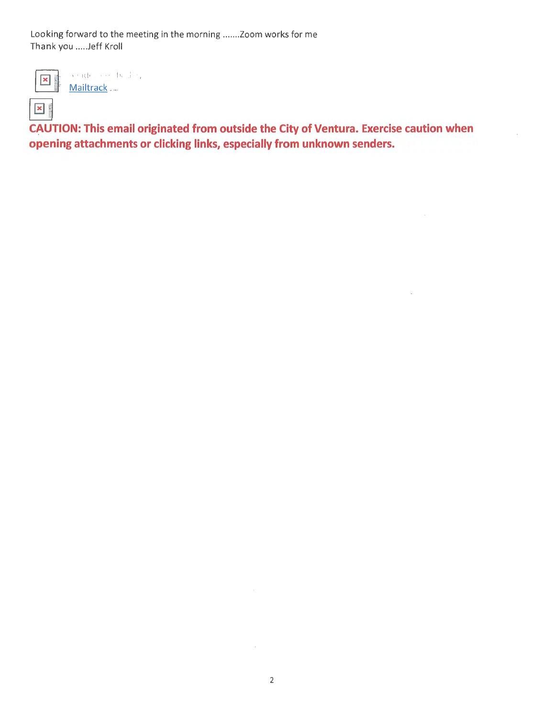Looking forward to the meeting in the morning ....... Zoom works for me Thank you ..... Jeff Kroll



Sender notified by Mailtrack ...

**x**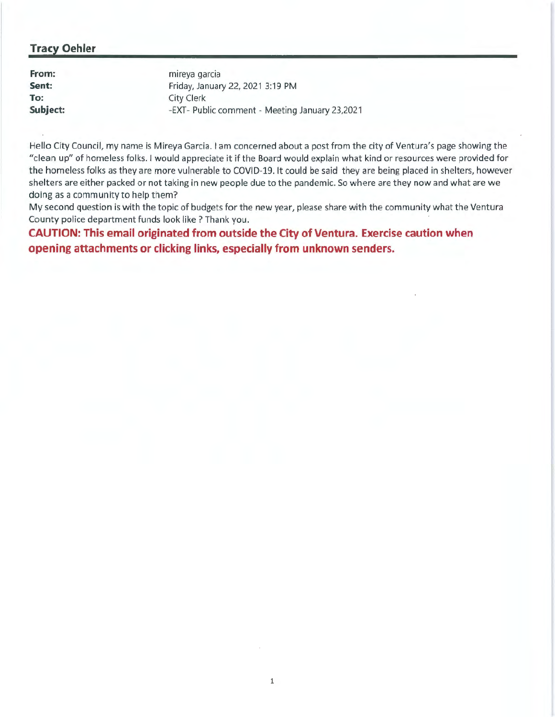| From:    | mireya garcia                                  |
|----------|------------------------------------------------|
| Sent:    | Friday, January 22, 2021 3:19 PM               |
| To:      | City Clerk                                     |
| Subject: | -EXT- Public comment - Meeting January 23,2021 |

Hello City Council, my name is Mireya Garcia. I am concerned about a post from the city of Ventura's page showing the "clean up" of homeless folks. I would appreciate it if the Board would explain what kind or resources were provided for the homeless folks as they are more vulnerable to COVID-19. It could be said they are being placed in shelters, however shelters are either packed or not taking in new people due to the pandemic. So where are they now and what are we doing as a community to help them?

My second question is with the topic of budgets for the new year, please share with the community what the Ventura County police department funds look like? Thank you.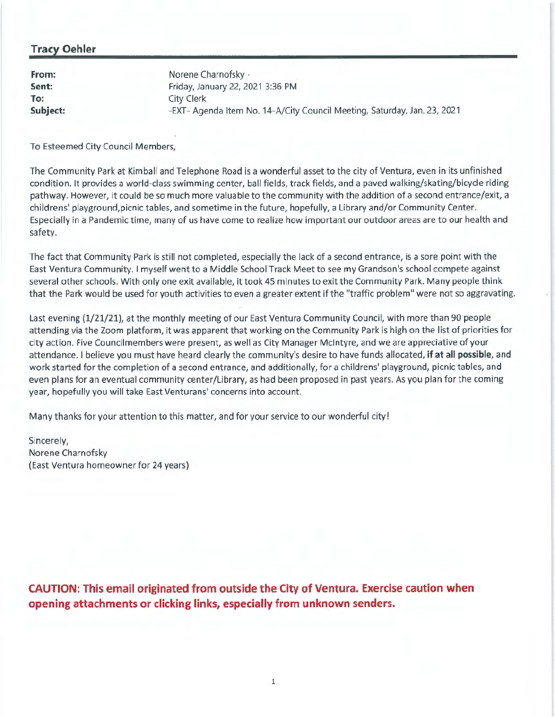| From:    | Norene Charnofsky ·                                                      |
|----------|--------------------------------------------------------------------------|
| Sent:    | Friday, January 22, 2021 3:36 PM                                         |
| To:      | City Clerk                                                               |
| Subject: | -EXT- Agenda Item No. 14-A/City Council Meeting, Saturday, Jan. 23, 2021 |

To Esteemed City Council Members,

The Community Park at Kimball and Telephone Road is a wonderful asset to the city of Ventura, even in its unfinished condition. It provides a world-class swimming center, ball fields, track fields, and a paved walking/skating/bicycle riding pathway. However, it could be so much more valuable to the community with the addition of a second entrance/exit, a childrens' playground,picnic tables, and sometime in the future, hopefully, a Library and/or Community Center. Especially in a Pandemic time, many of us have come to rea lize how important our outdoor areas are to our health and safety.

The fact that Community Park is still not completed, especially the lack of a second entrance, is a sore point with the East Ventura Community. I myself went to a Middle School Track Meet to see my Grandson's school compete against several other schools. With only one exit available, it took 45 minutes to exit the Community Park. Many people think that the Park would be used for youth activities to even a greater extent if the "traffic problem" were not so aggravating.

Last evening (1/21/21), at the monthly meeting of our East Ventura Community Council, with more than 90 people attending via the Zoom platform, it was apparent that working on the Community Park is high on the list of priorities for city action. Five Councilmembers were present, as well as City Manager McIntyre, and we are appreciative of your attendance. I believe you must have heard clearly the community's desire to have funds allocated, **if at all possible,** and work started for the completion of a second entrance, and additionally, for a childrens' playground, picnic tables, and even plans for an eventual community center/Library, as had been proposed in past years. As you plan for the coming year, hopefully you will take East Venturans' concerns into account.

Many thanks for your attention to this matter, and for your service to our wonderful city!

Sincerely, Norene Charnofsky (East Ventura homeowner for 24 years)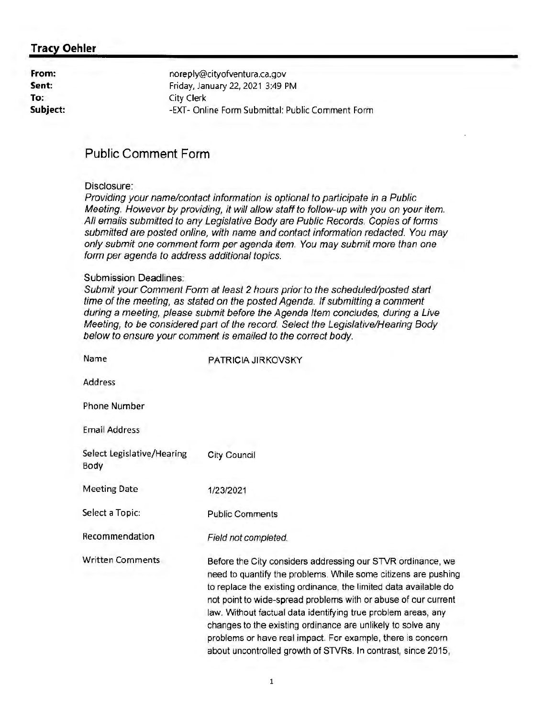| noreply@cityofventura.ca.gov                     |
|--------------------------------------------------|
| Friday, January 22, 2021 3:49 PM                 |
| City Clerk                                       |
| -EXT- Online Form Submittal: Public Comment Form |
|                                                  |

## **Public Comment Form**

#### Disclosure:

Providing your name/contact information is optional to participate in a Public Meeting. However by providing, it will allow staff to follow-up with you on your item. All emails submitted to any Legislative Body are Public Records. Copies of forms submitted are posted online, with name and contact information redacted. You may only submit one comment form per agenda item. You may submit more than one form per agenda to address additional topics.

#### Submission Deadlines:

Submit your Comment Form at least 2 hours prior to the scheduled/posted starl time of the meeting, as stated on the posted Agenda. If submitting a comment during a meeting, please submit before the Agenda Item concludes, during a Live Meeting, to be considered parl of the record. Select the Legislative/Hearing Body below to ensure your comment is emailed to the correct body.

| Name                               | PATRICIA JIRKOVSKY                                                                                                                                                                                                                                                                                                                                                                                                                                                                                                                 |
|------------------------------------|------------------------------------------------------------------------------------------------------------------------------------------------------------------------------------------------------------------------------------------------------------------------------------------------------------------------------------------------------------------------------------------------------------------------------------------------------------------------------------------------------------------------------------|
| Address                            |                                                                                                                                                                                                                                                                                                                                                                                                                                                                                                                                    |
| <b>Phone Number</b>                |                                                                                                                                                                                                                                                                                                                                                                                                                                                                                                                                    |
| <b>Email Address</b>               |                                                                                                                                                                                                                                                                                                                                                                                                                                                                                                                                    |
| Select Legislative/Hearing<br>Body | City Council                                                                                                                                                                                                                                                                                                                                                                                                                                                                                                                       |
| <b>Meeting Date</b>                | 1/23/2021                                                                                                                                                                                                                                                                                                                                                                                                                                                                                                                          |
| Select a Topic:                    | <b>Public Comments</b>                                                                                                                                                                                                                                                                                                                                                                                                                                                                                                             |
| Recommendation                     | Field not completed.                                                                                                                                                                                                                                                                                                                                                                                                                                                                                                               |
| <b>Written Comments</b>            | Before the City considers addressing our STVR ordinance, we<br>need to quantify the problems. While some citizens are pushing<br>to replace the existing ordinance, the limited data available do<br>not point to wide-spread problems with or abuse of our current<br>law. Without factual data identifying true problem areas, any<br>changes to the existing ordinance are unlikely to solve any<br>problems or have real impact. For example, there is concern<br>about uncontrolled growth of STVRs. In contrast, since 2015, |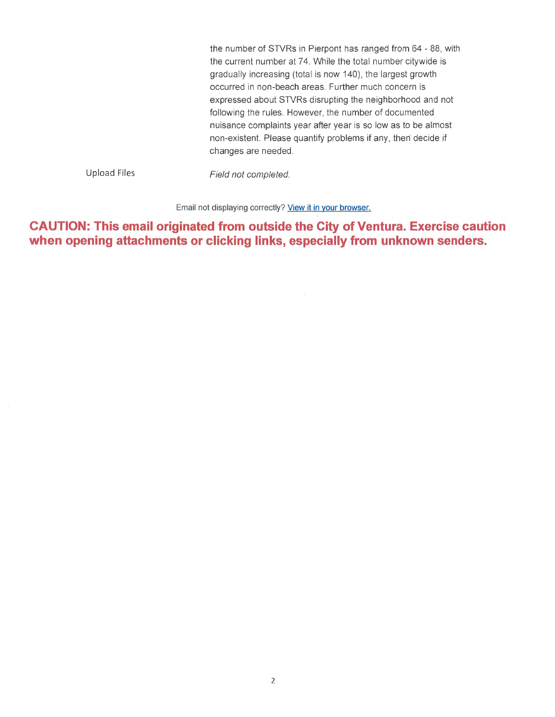the number of STVRs in Pierpont has ranged from 64 - 88, with the current number at 74. While the total number citywide is gradually increasing (total is now 140), the largest growth occurred in non-beach areas. Further much concern is expressed about STVRs disrupting the neighborhood and not following the rules. However, the number of documented nuisance complaints year after year is so low as to be almost non-existent. Please quantify problems if any, then decide if changes are needed.

Upload Files

Field not completed.

Email not displaying correctly? View it in your browser.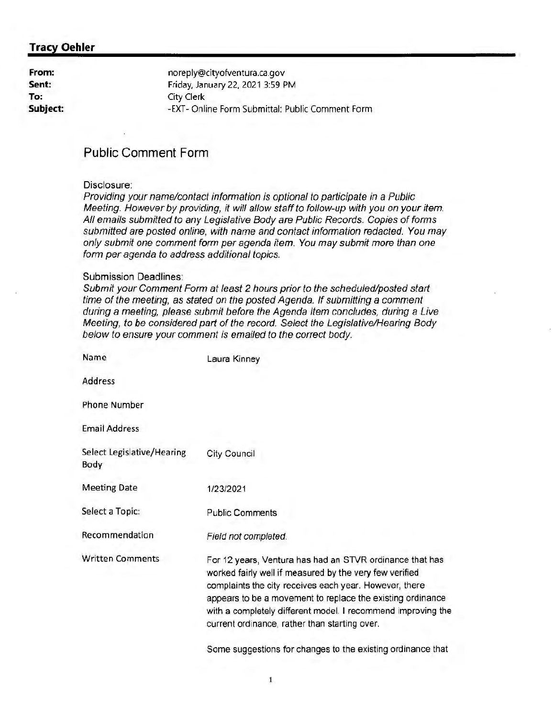| From:    | noreply@cityofventura.ca.gov                     |
|----------|--------------------------------------------------|
| Sent:    | Friday, January 22, 2021 3:59 PM                 |
| To:      | City Clerk                                       |
| Subject: | -EXT- Online Form Submittal: Public Comment Form |
|          |                                                  |

## **Public Comment Form**

#### Disclosure:

Providing your name/contact information is optional to participate in a Public Meeting. However by providing, it will allow staff to follow-up with you on your item. All emails submitted to any Legislative Body are Public Records. Copies of forms submitted are posted online, with name and contact information redacted. You may only submit one comment form per agenda item. You may submit more than one form per agenda to address additional topics.

#### Submission Deadlines:

Submit your Comment Form at least 2 hours prior to the scheduled/posted start time of the meeting, as stated on the posted Agenda. If submitting a comment during a meeting, please submit before the Agenda Item concludes, during a Live Meeting, to be considered part of the record. Select the Legislative/Hearing Body below to ensure your comment is emailed to the correct body.

| Name                               | Laura Kinney                                                                                                                                                                                                                                                                                                                                                 |
|------------------------------------|--------------------------------------------------------------------------------------------------------------------------------------------------------------------------------------------------------------------------------------------------------------------------------------------------------------------------------------------------------------|
| Address                            |                                                                                                                                                                                                                                                                                                                                                              |
| Phone Number                       |                                                                                                                                                                                                                                                                                                                                                              |
| <b>Email Address</b>               |                                                                                                                                                                                                                                                                                                                                                              |
| Select Legislative/Hearing<br>Body | City Council                                                                                                                                                                                                                                                                                                                                                 |
| <b>Meeting Date</b>                | 1/23/2021                                                                                                                                                                                                                                                                                                                                                    |
| Select a Topic:                    | <b>Public Comments</b>                                                                                                                                                                                                                                                                                                                                       |
| Recommendation                     | Field not completed.                                                                                                                                                                                                                                                                                                                                         |
| <b>Written Comments</b>            | For 12 years, Ventura has had an STVR ordinance that has<br>worked fairly well if measured by the very few verified<br>complaints the city receives each year. However, there<br>appears to be a movement to replace the existing ordinance<br>with a completely different model. I recommend improving the<br>current ordinance, rather than starting over. |
|                                    |                                                                                                                                                                                                                                                                                                                                                              |

Some suggestions for changes to the existing ordinance that